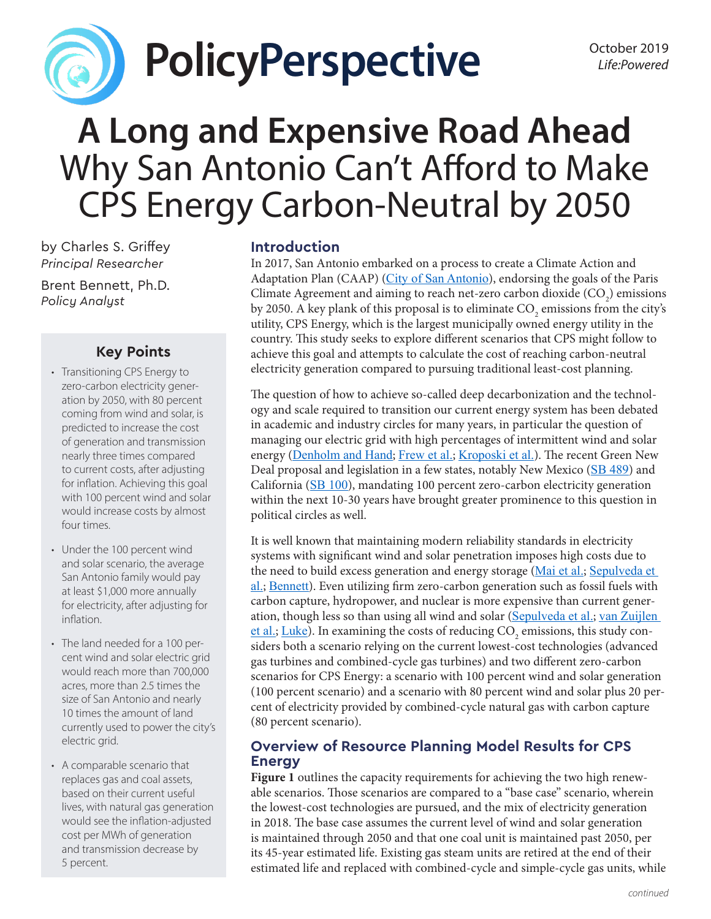

# **PolicyPerspective** *Detaber 2019*

# **A Long and Expensive Road Ahead** Why San Antonio Can't Afford to Make CPS Energy Carbon-Neutral by 2050

by Charles S. Griffey *Principal Researcher*

Brent Bennett, Ph.D. *Policy Analyst*

## **Key Points**

- Transitioning CPS Energy to zero-carbon electricity generation by 2050, with 80 percent coming from wind and solar, is predicted to increase the cost of generation and transmission nearly three times compared to current costs, after adjusting for inflation. Achieving this goal with 100 percent wind and solar would increase costs by almost four times.
- Under the 100 percent wind and solar scenario, the average San Antonio family would pay at least \$1,000 more annually for electricity, after adjusting for inflation.
- The land needed for a 100 percent wind and solar electric grid would reach more than 700,000 acres, more than 2.5 times the size of San Antonio and nearly 10 times the amount of land currently used to power the city's electric grid.
- A comparable scenario that replaces gas and coal assets, based on their current useful lives, with natural gas generation would see the inflation-adjusted cost per MWh of generation and transmission decrease by 5 percent.

#### **Introduction**

In 2017, San Antonio embarked on a process to create a Climate Action and Adaptation Plan (CAAP) ([City of San Antonio](https://saclimateready.org/wp-content/uploads/2019/08/SACR-DRAFT-082219_SPREAD_WEB.pdf)), endorsing the goals of the Paris Climate Agreement and aiming to reach net-zero carbon dioxide  $(CO_2)$  emissions by 2050. A key plank of this proposal is to eliminate  $\mathrm{CO}_2$  emissions from the city's utility, CPS Energy, which is the largest municipally owned energy utility in the country. This study seeks to explore different scenarios that CPS might follow to achieve this goal and attempts to calculate the cost of reaching carbon-neutral electricity generation compared to pursuing traditional least-cost planning.

The question of how to achieve so-called deep decarbonization and the technology and scale required to transition our current energy system has been debated in academic and industry circles for many years, in particular the question of managing our electric grid with high percentages of intermittent wind and solar energy ([Denholm and Hand](https://www.sciencedirect.com/science/article/pii/S0301421511000292); [Frew et al.](https://www.sciencedirect.com/science/article/abs/pii/S0360544216300032); Kroposki et al.). The recent Green New Deal proposal and legislation in a few states, notably New Mexico ([SB 489](https://www.nmlegis.gov/Sessions/19%20Regular/final/SB0489.pdf)) and California ([SB 100](https://leginfo.legislature.ca.gov/faces/billNavClient.xhtml?bill_id=201720180SB100)), mandating 100 percent zero-carbon electricity generation within the next 10-30 years have brought greater prominence to this question in political circles as well.

It is well known that maintaining modern reliability standards in electricity systems with significant wind and solar penetration imposes high costs due to the need to build excess generation and energy storage ([Mai et al.](https://www.sciencedirect.com/science/article/pii/S0306261919308542?via%3Dihub); Sepulveda et [al.](https://www.sciencedirect.com/science/article/abs/pii/S2542435118303866); [Bennett](https://lifepowered.org/wp-content/uploads/2019/08/2019-08-PP-LP-Bennett-Green-New-Deal-2.pdf)). Even utilizing firm zero-carbon generation such as fossil fuels with carbon capture, hydropower, and nuclear is more expensive than current generation, though less so than using all wind and solar ([Sepulveda et al.](https://www.sciencedirect.com/science/article/abs/pii/S2542435118303866); [van Zuijlen](https://www.sciencedirect.com/science/article/pii/S0306261919312619?via%3Dihub)  <u>[et al.](https://www.sciencedirect.com/science/article/pii/S0306261919312619?via%3Dihub); [Luke](https://www.nera.com/publications/archive/2018/getting-to-zero-carbon-emissions-in-the-electric-power-sector.html)</u>). In examining the costs of reducing  $\mathrm{CO}_2$  emissions, this study considers both a scenario relying on the current lowest-cost technologies (advanced gas turbines and combined-cycle gas turbines) and two different zero-carbon scenarios for CPS Energy: a scenario with 100 percent wind and solar generation (100 percent scenario) and a scenario with 80 percent wind and solar plus 20 percent of electricity provided by combined-cycle natural gas with carbon capture (80 percent scenario).

### **Overview of Resource Planning Model Results for CPS Energy**

**Figure 1** outlines the capacity requirements for achieving the two high renewable scenarios. Those scenarios are compared to a "base case" scenario, wherein the lowest-cost technologies are pursued, and the mix of electricity generation in 2018. The base case assumes the current level of wind and solar generation is maintained through 2050 and that one coal unit is maintained past 2050, per its 45-year estimated life. Existing gas steam units are retired at the end of their estimated life and replaced with combined-cycle and simple-cycle gas units, while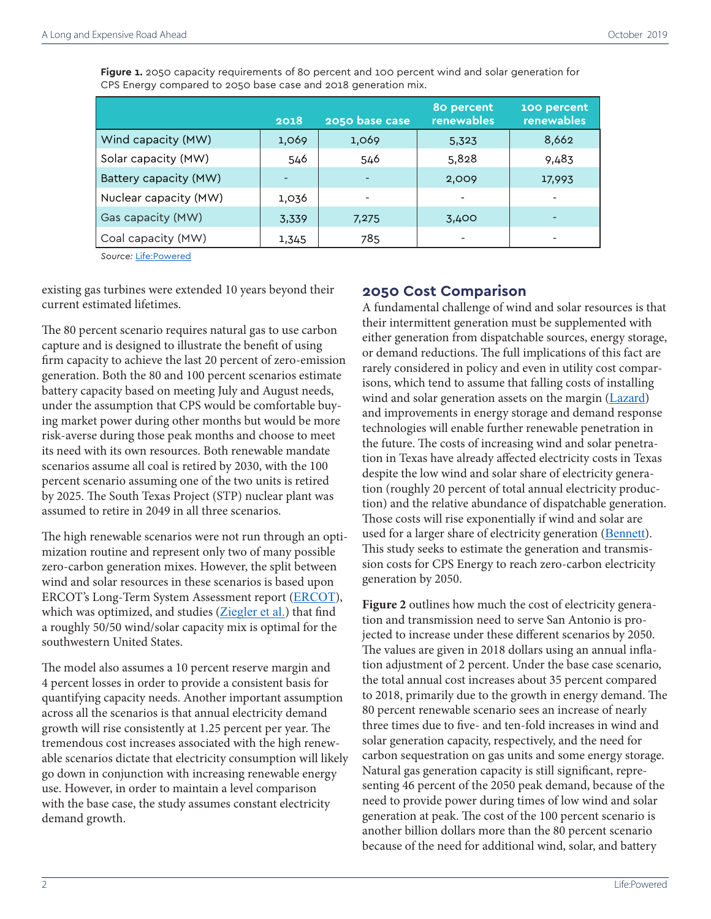**Figure 1.** 2050 capacity requirements of 80 percent and 100 percent wind and solar generation for CPS Energy compared to 2050 base case and 2018 generation mix.

|                              | 2018  | 2050 base case | 80 percent<br>renewables | 100 percent<br>renewables |
|------------------------------|-------|----------------|--------------------------|---------------------------|
| Wind capacity (MW)           | 1,069 | 1,069          | 5,323                    | 8,662                     |
| Solar capacity (MW)          | 546   | 546            | 5,828                    | 9,483                     |
| <b>Battery capacity (MW)</b> |       |                | 2,009                    | 17,993                    |
| Nuclear capacity (MW)        | 1,036 |                |                          |                           |
| Gas capacity (MW)            | 3,339 | 7,275          | 3,400                    |                           |
| Coal capacity (MW)           | 1,345 | 785            |                          |                           |

*Source:* [Life:Powered](http://www.lifepowered.org/CPSmethodology)

existing gas turbines were extended 10 years beyond their current estimated lifetimes.

The 80 percent scenario requires natural gas to use carbon capture and is designed to illustrate the benefit of using firm capacity to achieve the last 20 percent of zero-emission generation. Both the 80 and 100 percent scenarios estimate battery capacity based on meeting July and August needs, under the assumption that CPS would be comfortable buying market power during other months but would be more risk-averse during those peak months and choose to meet its need with its own resources. Both renewable mandate scenarios assume all coal is retired by 2030, with the 100 percent scenario assuming one of the two units is retired by 2025. The South Texas Project (STP) nuclear plant was assumed to retire in 2049 in all three scenarios.

The high renewable scenarios were not run through an optimization routine and represent only two of many possible zero-carbon generation mixes. However, the split between wind and solar resources in these scenarios is based upon ERCOT's Long-Term System Assessment report ([ERCOT](http://www.ercot.com/content/wcm/lists/144927/2018_LTSA_Report.pdf)), which was optimized, and studies ([Ziegler et al.](https://www.sciencedirect.com/science/article/abs/pii/S2542435119303009)) that find a roughly 50/50 wind/solar capacity mix is optimal for the southwestern United States.

The model also assumes a 10 percent reserve margin and 4 percent losses in order to provide a consistent basis for quantifying capacity needs. Another important assumption across all the scenarios is that annual electricity demand growth will rise consistently at 1.25 percent per year. The tremendous cost increases associated with the high renewable scenarios dictate that electricity consumption will likely go down in conjunction with increasing renewable energy use. However, in order to maintain a level comparison with the base case, the study assumes constant electricity demand growth.

#### **2050 Cost Comparison**

A fundamental challenge of wind and solar resources is that their intermittent generation must be supplemented with either generation from dispatchable sources, energy storage, or demand reductions. The full implications of this fact are rarely considered in policy and even in utility cost comparisons, which tend to assume that falling costs of installing wind and solar generation assets on the margin ([Lazard](https://www.lazard.com/media/450774/lazards-levelized-cost-of-storage-version-40-vfinal.pdf)) and improvements in energy storage and demand response technologies will enable further renewable penetration in the future. The costs of increasing wind and solar penetration in Texas have already affected electricity costs in Texas despite the low wind and solar share of electricity generation (roughly 20 percent of total annual electricity production) and the relative abundance of dispatchable generation. Those costs will rise exponentially if wind and solar are used for a larger share of electricity generation ([Bennett](https://lifepowered.org/wp-content/uploads/2019/08/2019-08-PP-LP-Bennett-Green-New-Deal-2.pdf)). This study seeks to estimate the generation and transmission costs for CPS Energy to reach zero-carbon electricity generation by 2050.

**Figure 2** outlines how much the cost of electricity generation and transmission need to serve San Antonio is projected to increase under these different scenarios by 2050. The values are given in 2018 dollars using an annual inflation adjustment of 2 percent. Under the base case scenario, the total annual cost increases about 35 percent compared to 2018, primarily due to the growth in energy demand. The 80 percent renewable scenario sees an increase of nearly three times due to five- and ten-fold increases in wind and solar generation capacity, respectively, and the need for carbon sequestration on gas units and some energy storage. Natural gas generation capacity is still significant, representing 46 percent of the 2050 peak demand, because of the need to provide power during times of low wind and solar generation at peak. The cost of the 100 percent scenario is another billion dollars more than the 80 percent scenario because of the need for additional wind, solar, and battery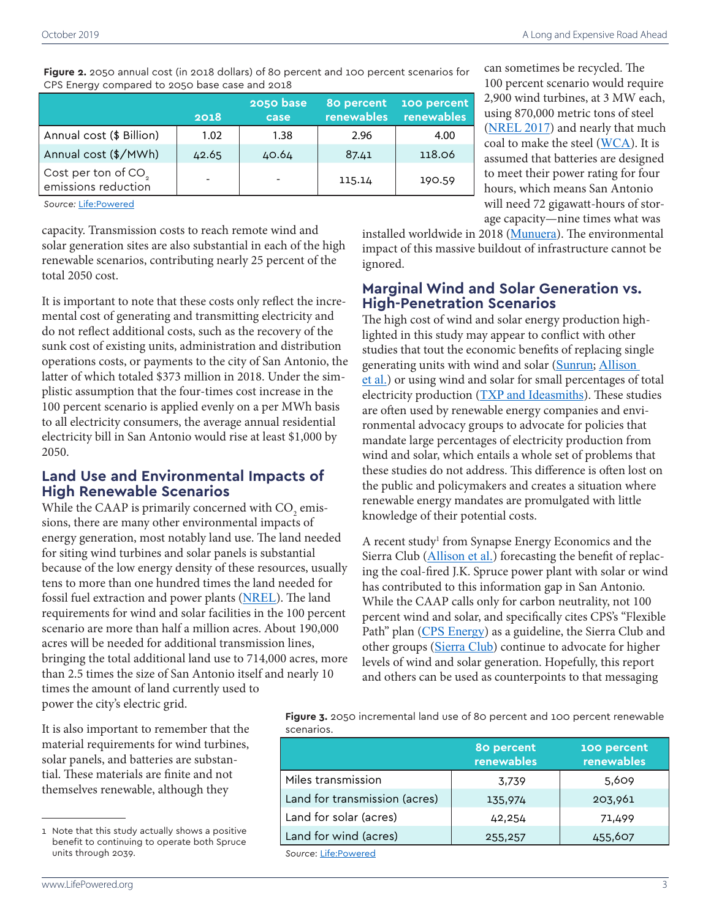**Figure 2.** 2050 annual cost (in 2018 dollars) of 80 percent and 100 percent scenarios for CPS Energy compared to 2050 base case and 2018

|                                                                | 2018  | 2050 base<br>case | 80 percent<br>renewables | 100 percent<br>renewables |
|----------------------------------------------------------------|-------|-------------------|--------------------------|---------------------------|
| Annual cost (\$ Billion)                                       | 1.02  | 1.38              | 2.96                     | 4.00                      |
| Annual cost (\$/MWh)                                           | 42.65 | 40.64             | 87.41                    | 118.06                    |
| $\vert$ Cost per ton of CO <sub>2</sub><br>emissions reduction |       |                   | 115.14                   | 190.59                    |

*Source:* [Life:Powered](http://www.lifepowered.org/CPSmethodology)

capacity. Transmission costs to reach remote wind and solar generation sites are also substantial in each of the high renewable scenarios, contributing nearly 25 percent of the total 2050 cost.

It is important to note that these costs only reflect the incremental cost of generating and transmitting electricity and do not reflect additional costs, such as the recovery of the sunk cost of existing units, administration and distribution operations costs, or payments to the city of San Antonio, the latter of which totaled \$373 million in 2018. Under the simplistic assumption that the four-times cost increase in the 100 percent scenario is applied evenly on a per MWh basis to all electricity consumers, the average annual residential electricity bill in San Antonio would rise at least \$1,000 by 2050.

#### **Land Use and Environmental Impacts of High Renewable Scenarios**

While the CAAP is primarily concerned with  $\mathrm{CO}_2^{}$  emissions, there are many other environmental impacts of energy generation, most notably land use. The land needed for siting wind turbines and solar panels is substantial because of the low energy density of these resources, usually tens to more than one hundred times the land needed for fossil fuel extraction and power plants ([NREL](https://www.nrel.gov/analysis/tech-size.html)). The land requirements for wind and solar facilities in the 100 percent scenario are more than half a million acres. About 190,000 acres will be needed for additional transmission lines, bringing the total additional land use to 714,000 acres, more than 2.5 times the size of San Antonio itself and nearly 10 times the amount of land currently used to power the city's electric grid.

It is also important to remember that the material requirements for wind turbines, solar panels, and batteries are substantial. These materials are finite and not themselves renewable, although they

can sometimes be recycled. The 100 percent scenario would require 2,900 wind turbines, at 3 MW each, using 870,000 metric tons of steel ([NREL 2017](https://www.nrel.gov/docs/fy17osti/66861.pdf)) and nearly that much coal to make the steel ([WCA](https://www.worldcoal.org/coal/uses-coal/how-steel-produced)). It is assumed that batteries are designed to meet their power rating for four hours, which means San Antonio will need 72 gigawatt-hours of storage capacity—nine times what was

installed worldwide in 2018 ([Munuera](https://www.iea.org/tcep/energyintegration/energystorage/)). The environmental impact of this massive buildout of infrastructure cannot be ignored.

#### **Marginal Wind and Solar Generation vs. High-Penetration Scenarios**

The high cost of wind and solar energy production highlighted in this study may appear to conflict with other studies that tout the economic benefits of replacing single generating units with wind and solar ([Sunrun](https://www.sunrun.com/home-solar-blog/home-solar-and-batteries-can-replace-retiring-gas-fired-power-plants-los-angeles); Allison et [al.](https://drive.google.com/file/d/0BzTHARzy2TINbEFQTU9iNHpsRWRSVV9mRVVmbm1NQW0tYVpr/view)) or using wind and solar for small percentages of total electricity production ([TXP and Ideasmiths](https://www.txrenewables.org/)). These studies are often used by renewable energy companies and environmental advocacy groups to advocate for policies that mandate large percentages of electricity production from wind and solar, which entails a whole set of problems that these studies do not address. This difference is often lost on the public and policymakers and creates a situation where renewable energy mandates are promulgated with little knowledge of their potential costs.

A recent study<sup>1</sup> from Synapse Energy Economics and the Sierra Club ([Allison et al.](https://drive.google.com/file/d/0BzTHARzy2TINbEFQTU9iNHpsRWRSVV9mRVVmbm1NQW0tYVpr/view)) forecasting the benefit of replacing the coal-fired J.K. Spruce power plant with solar or wind has contributed to this information gap in San Antonio. While the CAAP calls only for carbon neutrality, not 100 percent wind and solar, and specifically cites CPS's "Flexible Path" plan ([CPS Energy](https://cpsenergy.com/flexiblepath)) as a guideline, the Sierra Club and other groups ([Sierra Club](https://www.sierraclub.org/texas/blog/2019/06/new-report-replacing-san-antonio-s-spruce-coal-plant-renewables-could-save-1)) continue to advocate for higher levels of wind and solar generation. Hopefully, this report and others can be used as counterpoints to that messaging

**Figure 3.** 2050 incremental land use of 80 percent and 100 percent renewable scenarios.

|                               | 80 percent<br>renewables | 100 percent<br>renewables |
|-------------------------------|--------------------------|---------------------------|
| Miles transmission            | 3,739                    | 5,609                     |
| Land for transmission (acres) | 135,974                  | 203,961                   |
| Land for solar (acres)        | 42,254                   | 71,499                    |
| Land for wind (acres)         | 255,257                  | 455,607                   |
| Source: Life: Powered         |                          |                           |

*Source*: [Life:Powered](http://www.lifepowered.org/CPSmethodology)

<sup>1</sup> Note that this study actually shows a positive benefit to continuing to operate both Spruce units through 2039.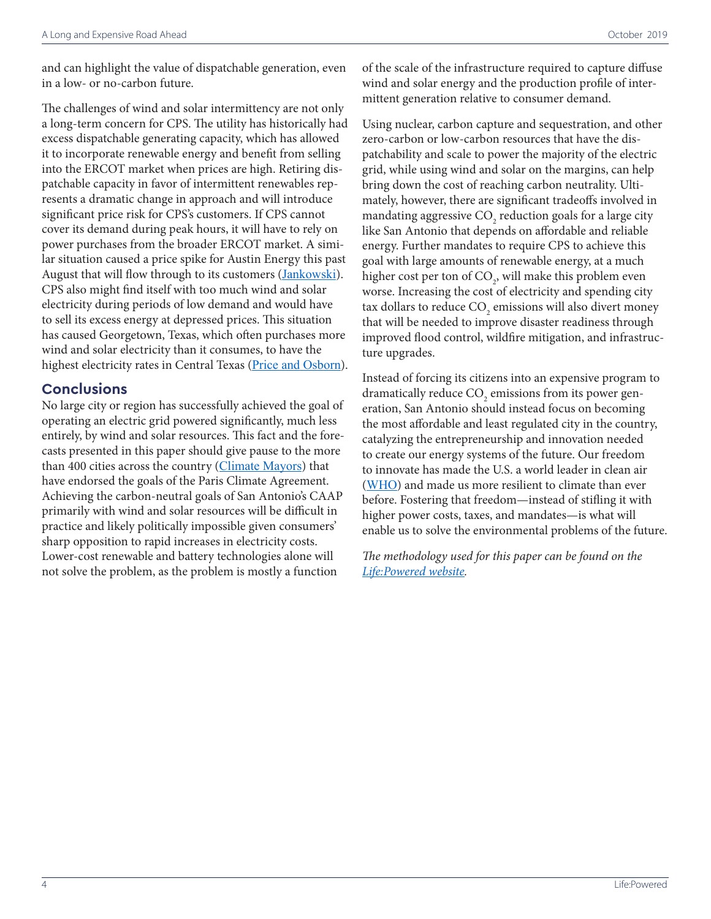and can highlight the value of dispatchable generation, even in a low- or no-carbon future.

The challenges of wind and solar intermittency are not only a long-term concern for CPS. The utility has historically had excess dispatchable generating capacity, which has allowed it to incorporate renewable energy and benefit from selling into the ERCOT market when prices are high. Retiring dispatchable capacity in favor of intermittent renewables represents a dramatic change in approach and will introduce significant price risk for CPS's customers. If CPS cannot cover its demand during peak hours, it will have to rely on power purchases from the broader ERCOT market. A similar situation caused a price spike for Austin Energy this past August that will flow through to its customers ([Jankowski](https://www.statesman.com/news/20190827/sweltering-heat-absent-wind-could-trigger-increase-to-austin-energy-bills)). CPS also might find itself with too much wind and solar electricity during periods of low demand and would have to sell its excess energy at depressed prices. This situation has caused Georgetown, Texas, which often purchases more wind and solar electricity than it consumes, to have the highest electricity rates in Central Texas ([Price and Osborn](https://www.statesman.com/news/20190223/why-georgetowns-green-energy-gamble-didnt-pay-off)).

#### **Conclusions**

No large city or region has successfully achieved the goal of operating an electric grid powered significantly, much less entirely, by wind and solar resources. This fact and the forecasts presented in this paper should give pause to the more than 400 cities across the country ([Climate Mayors](http://climatemayors.org/actions/paris-climate-agreement/)) that have endorsed the goals of the Paris Climate Agreement. Achieving the carbon-neutral goals of San Antonio's CAAP primarily with wind and solar resources will be difficult in practice and likely politically impossible given consumers' sharp opposition to rapid increases in electricity costs. Lower-cost renewable and battery technologies alone will not solve the problem, as the problem is mostly a function

of the scale of the infrastructure required to capture diffuse wind and solar energy and the production profile of intermittent generation relative to consumer demand.

Using nuclear, carbon capture and sequestration, and other zero-carbon or low-carbon resources that have the dispatchability and scale to power the majority of the electric grid, while using wind and solar on the margins, can help bring down the cost of reaching carbon neutrality. Ultimately, however, there are significant tradeoffs involved in mandating aggressive  $\mathrm{CO}_2$  reduction goals for a large city like San Antonio that depends on affordable and reliable energy. Further mandates to require CPS to achieve this goal with large amounts of renewable energy, at a much higher cost per ton of  $\mathrm{CO}_2$ , will make this problem even worse. Increasing the cost of electricity and spending city tax dollars to reduce  $\mathrm{CO}_\mathrm{2}$  emissions will also divert money that will be needed to improve disaster readiness through improved flood control, wildfire mitigation, and infrastructure upgrades.

Instead of forcing its citizens into an expensive program to dramatically reduce  $\mathrm{CO}_2$  emissions from its power generation, San Antonio should instead focus on becoming the most affordable and least regulated city in the country, catalyzing the entrepreneurship and innovation needed to create our energy systems of the future. Our freedom to innovate has made the U.S. a world leader in clean air ([WHO](http://maps.who.int/airpollution/)) and made us more resilient to climate than ever before. Fostering that freedom—instead of stifling it with higher power costs, taxes, and mandates—is what will enable us to solve the environmental problems of the future.

*The methodology used for this paper can be found on the [Life:Powered website](http://www.lifepowered.org/CPSmethodology).*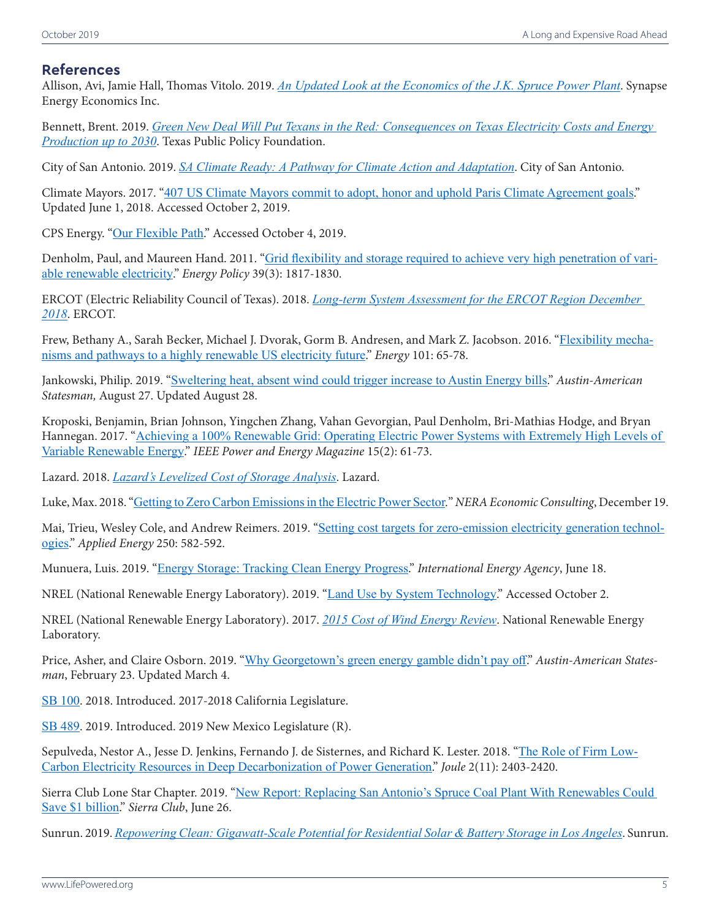#### **References**

Allison, Avi, Jamie Hall, Thomas Vitolo. 2019. *[An Updated Look at the Economics of the J.K. Spruce Power Plant](https://drive.google.com/file/d/0BzTHARzy2TINbEFQTU9iNHpsRWRSVV9mRVVmbm1NQW0tYVpr/view)*. Synapse Energy Economics Inc.

Bennett, Brent. 2019. *Green New Deal Will Put Texans in the Red: Consequences on Texas Electricity Costs and Energy Production up to 2030*. Texas Public Policy Foundation.

City of San Antonio. 2019. *[SA Climate Ready: A Pathway for Climate Action and Adaptation](https://saclimateready.org/wp-content/uploads/2019/08/SACR-DRAFT-082219_SPREAD_WEB.pdf)*. City of San Antonio.

Climate Mayors. 2017. "[407 US Climate Mayors commit to adopt, honor and uphold Paris Climate Agreement goals](http://climatemayors.org/actions/paris-climate-agreement/)." Updated June 1, 2018. Accessed October 2, 2019.

CPS Energy. "[Our Flexible Path](https://cpsenergy.com/flexiblepath)." Accessed October 4, 2019.

Denholm, Paul, and Maureen Hand. 2011. "[Grid flexibility and storage required to achieve very high penetration of vari](https://www.sciencedirect.com/science/article/pii/S0301421511000292)[able renewable electricity](https://www.sciencedirect.com/science/article/pii/S0301421511000292)." *Energy Policy* 39(3): 1817-1830.

ERCOT (Electric Reliability Council of Texas). 2018. *[Long-term System Assessment for the ERCOT Region December](http://www.ercot.com/content/wcm/lists/144927/2018_LTSA_Report.pdf)  [2018](http://www.ercot.com/content/wcm/lists/144927/2018_LTSA_Report.pdf)*. ERCOT.

Frew, Bethany A., Sarah Becker, Michael J. Dvorak, Gorm B. Andresen, and Mark Z. Jacobson. 2016. "[Flexibility mecha](https://www.sciencedirect.com/science/article/abs/pii/S0360544216300032)[nisms and pathways to a highly renewable US electricity future](https://www.sciencedirect.com/science/article/abs/pii/S0360544216300032)." *Energy* 101: 65-78.

Jankowski, Philip. 2019. "[Sweltering heat, absent wind could trigger increase to Austin Energy bills](https://www.statesman.com/news/20190827/sweltering-heat-absent-wind-could-trigger-increase-to-austin-energy-bills)." *Austin-American Statesman,* August 27. Updated August 28.

Kroposki, Benjamin, Brian Johnson, Yingchen Zhang, Vahan Gevorgian, Paul Denholm, Bri-Mathias Hodge, and Bryan Hannegan. 2017. "[Achieving a 100% Renewable Grid: Operating Electric Power Systems with Extremely High Levels of](https://ieeexplore.ieee.org/abstract/document/7866938/authors)  [Variable Renewable Energy](https://ieeexplore.ieee.org/abstract/document/7866938/authors)." *IEEE Power and Energy Magazine* 15(2): 61-73.

Lazard. 2018. *[Lazard's Levelized Cost of Storage Analysis](https://www.lazard.com/media/450774/lazards-levelized-cost-of-storage-version-40-vfinal.pdf)*. Lazard.

Luke, Max. 2018. "[Getting to Zero Carbon Emissions in the Electric Power Sector.](https://www.nera.com/publications/archive/2018/getting-to-zero-carbon-emissions-in-the-electric-power-sector.html)" *NERA Economic Consulting*, December 19.

Mai, Trieu, Wesley Cole, and Andrew Reimers. 2019. "[Setting cost targets for zero-emission electricity generation technol](https://www.sciencedirect.com/science/article/pii/S0306261919308542?via%3Dihub)[ogies](https://www.sciencedirect.com/science/article/pii/S0306261919308542?via%3Dihub)." *Applied Energy* 250: 582-592.

Munuera, Luis. 2019. "[Energy Storage: Tracking Clean Energy Progress](https://www.iea.org/tcep/energyintegration/energystorage/)." *International Energy Agency*, June 18.

NREL (National Renewable Energy Laboratory). 2019. "[Land Use by System Technology](https://www.nrel.gov/analysis/tech-size.html)." Accessed October 2.

NREL (National Renewable Energy Laboratory). 2017. *[2015 Cost of Wind Energy Review](https://www.nrel.gov/docs/fy17osti/66861.pdf)*. National Renewable Energy Laboratory.

Price, Asher, and Claire Osborn. 2019. "[Why Georgetown's green energy gamble didn't pay off](https://www.statesman.com/news/20190223/why-georgetowns-green-energy-gamble-didnt-pay-off)." *Austin-American Statesman*, February 23. Updated March 4.

[SB 100](https://leginfo.legislature.ca.gov/faces/billNavClient.xhtml?bill_id=201720180SB100). 2018. Introduced. 2017-2018 California Legislature.

[SB 489](https://www.nmlegis.gov/Sessions/19%20Regular/final/SB0489.pdf). 2019. Introduced. 2019 New Mexico Legislature (R).

Sepulveda, Nestor A., Jesse D. Jenkins, Fernando J. de Sisternes, and Richard K. Lester. 2018. "[The Role of Firm Low-](https://www.sciencedirect.com/science/article/abs/pii/S2542435118303866)[Carbon Electricity Resources in Deep Decarbonization of Power Generation](https://www.sciencedirect.com/science/article/abs/pii/S2542435118303866)." *Joule* 2(11): 2403-2420.

Sierra Club Lone Star Chapter. 2019. "[New Report: Replacing San Antonio's Spruce Coal Plant With Renewables Could](https://www.sierraclub.org/texas/blog/2019/06/new-report-replacing-san-antonio-s-spruce-coal-plant-renewables-could-save-1)  [Save \\$1 billion](https://www.sierraclub.org/texas/blog/2019/06/new-report-replacing-san-antonio-s-spruce-coal-plant-renewables-could-save-1)." *Sierra Club*, June 26.

Sunrun. 2019. *[Repowering Clean: Gigawatt-Scale Potential for Residential Solar & Battery Storage in Los Angeles](https://www.sunrun.com/home-solar-blog/home-solar-and-batteries-can-replace-retiring-gas-fired-power-plants-los-angeles)*. Sunrun.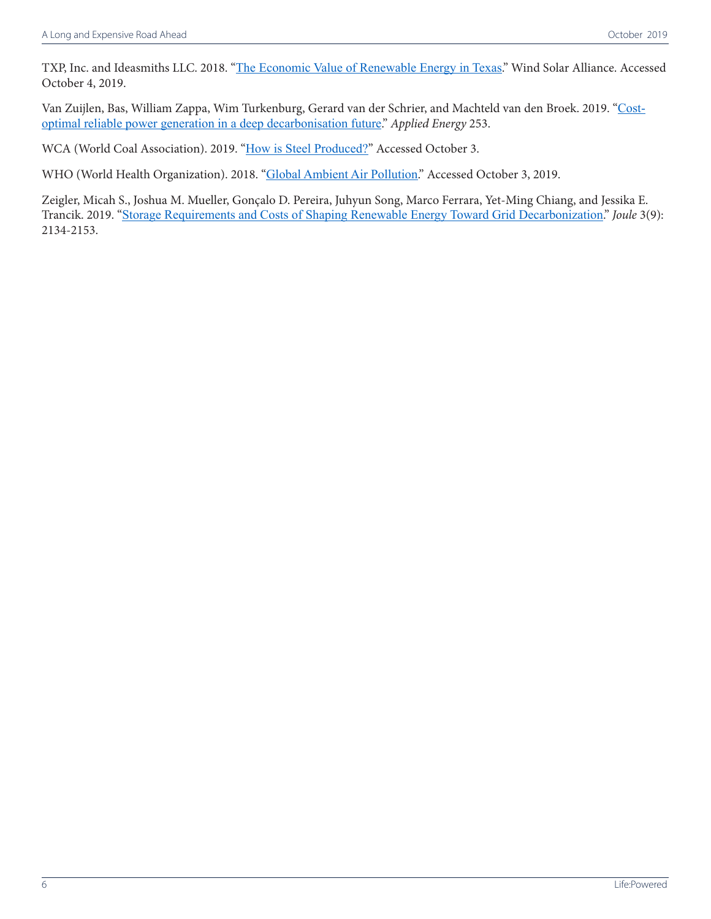TXP, Inc. and Ideasmiths LLC. 2018. "[The Economic Value of Renewable Energy in Texas](https://www.txrenewables.org/)." Wind Solar Alliance. Accessed October 4, 2019.

Van Zuijlen, Bas, William Zappa, Wim Turkenburg, Gerard van der Schrier, and Machteld van den Broek. 2019. "[Cost](https://www.sciencedirect.com/science/article/pii/S0306261919312619?via%3Dihub)[optimal reliable power generation in a deep decarbonisation future](https://www.sciencedirect.com/science/article/pii/S0306261919312619?via%3Dihub)." *Applied Energy* 253.

WCA (World Coal Association). 2019. "[How is Steel Produced?](https://www.worldcoal.org/coal/uses-coal/how-steel-produced)" Accessed October 3.

WHO (World Health Organization). 2018. "[Global Ambient Air Pollution](http://maps.who.int/airpollution/)." Accessed October 3, 2019.

Zeigler, Micah S., Joshua M. Mueller, Gonçalo D. Pereira, Juhyun Song, Marco Ferrara, Yet-Ming Chiang, and Jessika E. Trancik. 2019. "[Storage Requirements and Costs of Shaping Renewable Energy Toward Grid Decarbonization](https://www.sciencedirect.com/science/article/abs/pii/S2542435119303009)." *Joule* 3(9): 2134-2153.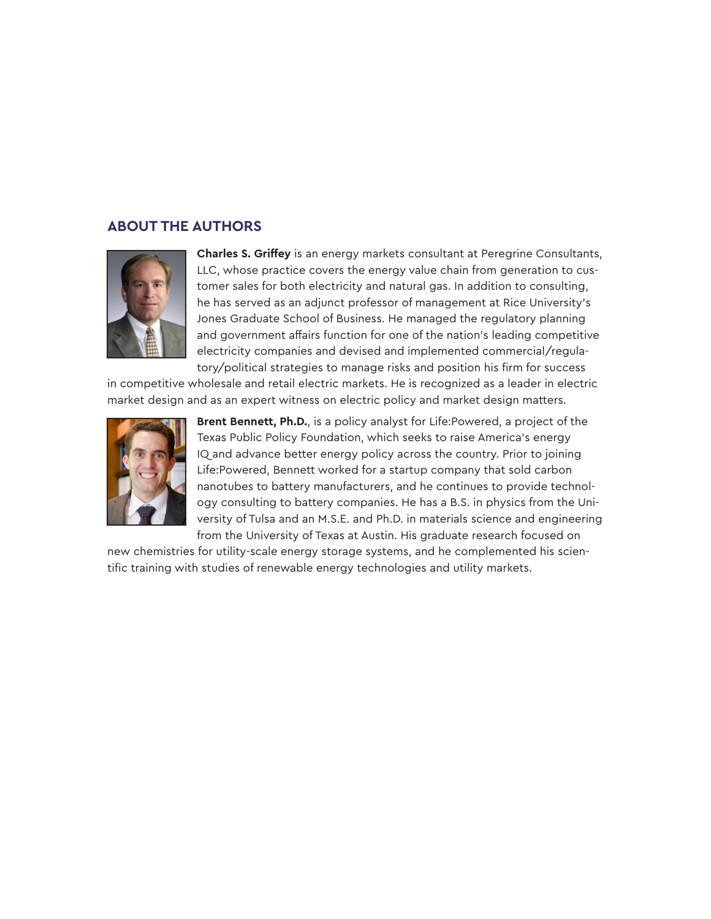#### **ABOUT THE AUTHORS**



**Charles S. Griffey** is an energy markets consultant at Peregrine Consultants, LLC, whose practice covers the energy value chain from generation to customer sales for both electricity and natural gas. In addition to consulting, he has served as an adjunct professor of management at Rice University's Jones Graduate School of Business. He managed the regulatory planning and government affairs function for one of the nation's leading competitive electricity companies and devised and implemented commercial/regulatory/political strategies to manage risks and position his firm for success

in competitive wholesale and retail electric markets. He is recognized as a leader in electric market design and as an expert witness on electric policy and market design matters.



**Brent Bennett, Ph.D.**, is a policy analyst for Life:Powered, a project of the Texas Public Policy Foundation, which seeks to raise America's energy IQ and advance better energy policy across the country. Prior to joining Life:Powered, Bennett worked for a startup company that sold carbon nanotubes to battery manufacturers, and he continues to provide technology consulting to battery companies. He has a B.S. in physics from the University of Tulsa and an M.S.E. and Ph.D. in materials science and engineering from the University of Texas at Austin. His graduate research focused on

new chemistries for utility-scale energy storage systems, and he complemented his scientific training with studies of renewable energy technologies and utility markets.